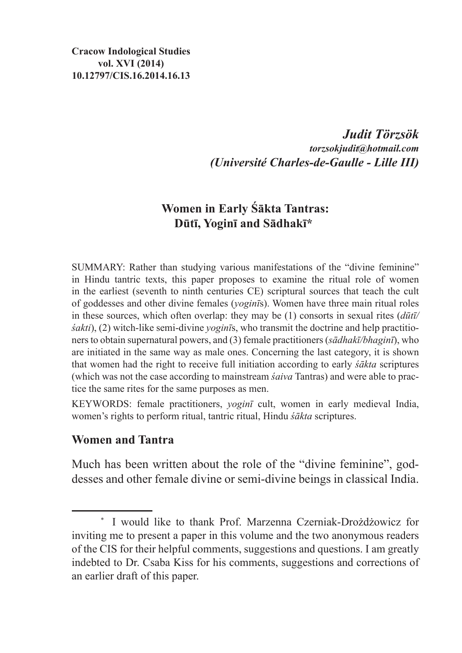*Judit Törzsök torzsokjudit@hotmail.com (Université Charles-de-Gaulle - Lille III)*

# **Women in Early Śākta Tantras: Dūtī, Yoginī and Sādhakī\***

SUMMARY: Rather than studying various manifestations of the "divine feminine" in Hindu tantric texts, this paper proposes to examine the ritual role of women in the earliest (seventh to ninth centuries CE) scriptural sources that teach the cult of goddesses and other divine females (*yoginī*s). Women have three main ritual roles in these sources, which often overlap: they may be (1) consorts in sexual rites (*dūtī/ śakti*), (2) witch-like semi-divine *yoginī*s, who transmit the doctrine and help practitioners to obtain supernatural powers, and (3) female practitioners (*sādhakī/bhaginī*), who are initiated in the same way as male ones. Concerning the last category, it is shown that women had the right to receive full initiation according to early *śākta* scriptures (which was not the case according to mainstream *śaiva* Tantras) and were able to practice the same rites for the same purposes as men.

KEYWORDS: female practitioners, *yoginī* cult, women in early medieval India, women's rights to perform ritual, tantric ritual, Hindu *śākta* scriptures.

## **Women and Tantra**

Much has been written about the role of the "divine feminine", goddesses and other female divine or semi-divine beings in classical India.

<sup>\*</sup> I would like to thank Prof. Marzenna Czerniak-Drożdżowicz for inviting me to present a paper in this volume and the two anonymous readers of the CIS for their helpful comments, suggestions and questions. I am greatly indebted to Dr. Csaba Kiss for his comments, suggestions and corrections of an earlier draft of this paper.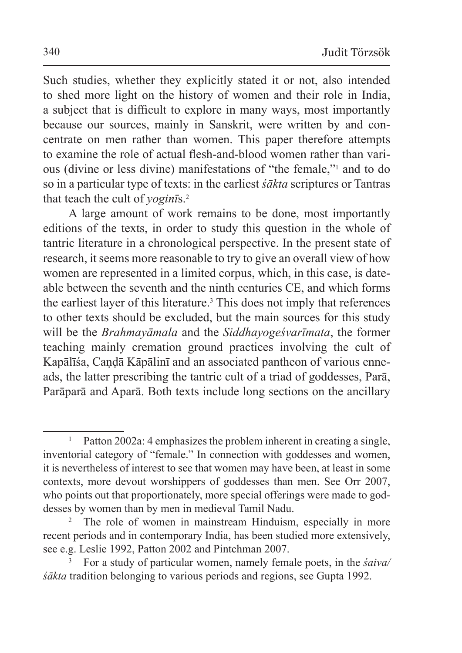Such studies, whether they explicitly stated it or not, also intended to shed more light on the history of women and their role in India, a subject that is difficult to explore in many ways, most importantly because our sources, mainly in Sanskrit, were written by and concentrate on men rather than women. This paper therefore attempts to examine the role of actual flesh-and-blood women rather than various (divine or less divine) manifestations of "the female,"1 and to do so in a particular type of texts: in the earliest *śākta* scriptures or Tantras that teach the cult of *yoginī*s.2

A large amount of work remains to be done, most importantly editions of the texts, in order to study this question in the whole of tantric literature in a chronological perspective. In the present state of research, it seems more reasonable to try to give an overall view of how women are represented in a limited corpus, which, in this case, is dateable between the seventh and the ninth centuries CE, and which forms the earliest layer of this literature.3 This does not imply that references to other texts should be excluded, but the main sources for this study will be the *Brahmayāmala* and the *Siddhayogeśvarīmata*, the former teaching mainly cremation ground practices involving the cult of Kapālīśa, Candā Kāpālinī and an associated pantheon of various enneads, the latter prescribing the tantric cult of a triad of goddesses, Parā, Parāparā and Aparā. Both texts include long sections on the ancillary

<sup>&</sup>lt;sup>1</sup> Patton 2002a: 4 emphasizes the problem inherent in creating a single, inventorial category of "female." In connection with goddesses and women, it is nevertheless of interest to see that women may have been, at least in some contexts, more devout worshippers of goddesses than men. See Orr 2007, who points out that proportionately, more special offerings were made to goddesses by women than by men in medieval Tamil Nadu.

The role of women in mainstream Hinduism, especially in more recent periods and in contemporary India, has been studied more extensively, see e.g. Leslie 1992, Patton 2002 and Pintchman 2007.

<sup>3</sup> For a study of particular women, namely female poets, in the *śaiva/ śākta* tradition belonging to various periods and regions, see Gupta 1992.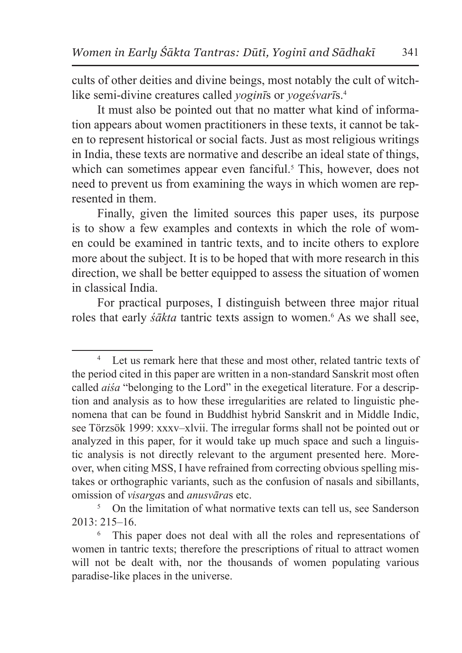cults of other deities and divine beings, most notably the cult of witchlike semi-divine creatures called *yoginī*s or *yogeśvarī*s.4

It must also be pointed out that no matter what kind of information appears about women practitioners in these texts, it cannot be taken to represent historical or social facts. Just as most religious writings in India, these texts are normative and describe an ideal state of things, which can sometimes appear even fanciful.<sup>5</sup> This, however, does not need to prevent us from examining the ways in which women are represented in them.

Finally, given the limited sources this paper uses, its purpose is to show a few examples and contexts in which the role of women could be examined in tantric texts, and to incite others to explore more about the subject. It is to be hoped that with more research in this direction, we shall be better equipped to assess the situation of women in classical India.

For practical purposes, I distinguish between three major ritual roles that early *śākta* tantric texts assign to women.<sup>6</sup> As we shall see,

Let us remark here that these and most other, related tantric texts of the period cited in this paper are written in a non-standard Sanskrit most often called *aiśa* "belonging to the Lord" in the exegetical literature. For a description and analysis as to how these irregularities are related to linguistic phenomena that can be found in Buddhist hybrid Sanskrit and in Middle Indic, see Törzsök 1999: xxxv–xlvii. The irregular forms shall not be pointed out or analyzed in this paper, for it would take up much space and such a linguistic analysis is not directly relevant to the argument presented here. Moreover, when citing MSS, I have refrained from correcting obvious spelling mistakes or orthographic variants, such as the confusion of nasals and sibillants, omission of *visarga*s and *anusvāra*s etc.

<sup>&</sup>lt;sup>5</sup> On the limitation of what normative texts can tell us, see Sanderson  $2013 \cdot 215 - 16$ 

<sup>6</sup> This paper does not deal with all the roles and representations of women in tantric texts; therefore the prescriptions of ritual to attract women will not be dealt with, nor the thousands of women populating various paradise-like places in the universe.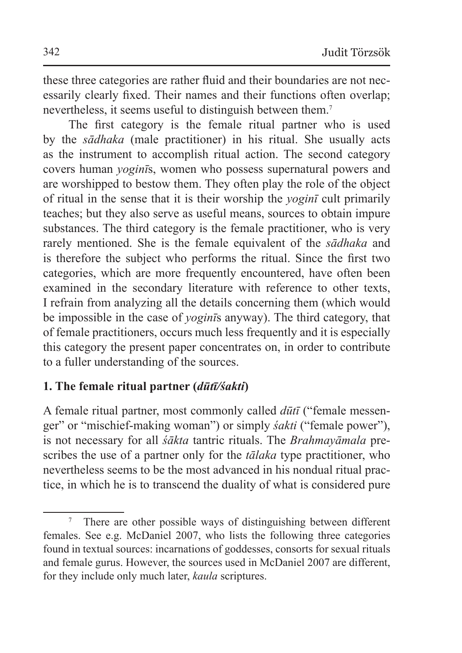these three categories are rather fluid and their boundaries are not necessarily clearly fixed. Their names and their functions often overlap; nevertheless, it seems useful to distinguish between them.<sup>7</sup>

The first category is the female ritual partner who is used by the *sādhaka* (male practitioner) in his ritual. She usually acts as the instrument to accomplish ritual action. The second category covers human *yoginī*s, women who possess supernatural powers and are worshipped to bestow them. They often play the role of the object of ritual in the sense that it is their worship the *yoginī* cult primarily teaches; but they also serve as useful means, sources to obtain impure substances. The third category is the female practitioner, who is very rarely mentioned. She is the female equivalent of the *sādhaka* and is therefore the subject who performs the ritual. Since the first two categories, which are more frequently encountered, have often been examined in the secondary literature with reference to other texts, I refrain from analyzing all the details concerning them (which would be impossible in the case of *yoginī*s anyway). The third category, that of female practitioners, occurs much less frequently and it is especially this category the present paper concentrates on, in order to contribute to a fuller understanding of the sources.

## **1. The female ritual partner (***dūtī/śakti***)**

A female ritual partner, most commonly called *dūtī* ("female messenger" or "mischief-making woman") or simply *śakti* ("female power"), is not necessary for all *śākta* tantric rituals. The *Brahmayāmala* prescribes the use of a partner only for the *tālaka* type practitioner, who nevertheless seems to be the most advanced in his nondual ritual practice, in which he is to transcend the duality of what is considered pure

There are other possible ways of distinguishing between different females. See e.g. McDaniel 2007, who lists the following three categories found in textual sources: incarnations of goddesses, consorts for sexual rituals and female gurus. However, the sources used in McDaniel 2007 are different, for they include only much later, *kaula* scriptures.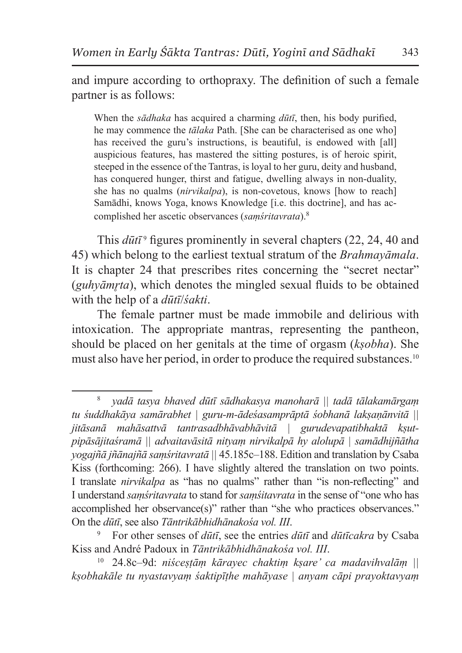and impure according to orthopraxy. The definition of such a female partner is as follows:

When the *sādhaka* has acquired a charming *dūtī*, then, his body purified, he may commence the *tālaka* Path. [She can be characterised as one who] has received the guru's instructions, is beautiful, is endowed with [all] auspicious features, has mastered the sitting postures, is of heroic spirit, steeped in the essence of the Tantras, is loyal to her guru, deity and husband, has conquered hunger, thirst and fatigue, dwelling always in non-duality, she has no qualms (*nirvikalpa*), is non-covetous, knows [how to reach] Samādhi, knows Yoga, knows Knowledge [i.e. this doctrine], and has accomplished her ascetic observances (*saṃśritavrata*).8

This  $d\bar{u}t\bar{\tau}$ <sup>9</sup> figures prominently in several chapters (22, 24, 40 and 45) which belong to the earliest textual stratum of the *Brahmayāmala*. It is chapter 24 that prescribes rites concerning the "secret nectar" (*guhvāmrta*), which denotes the mingled sexual fluids to be obtained with the help of a *dūtī*/*śakti*.

The female partner must be made immobile and delirious with intoxication. The appropriate mantras, representing the pantheon, should be placed on her genitals at the time of orgasm (*kṣobha*). She must also have her period, in order to produce the required substances.10

<sup>8</sup> *yadā tasya bhaved dūtī sādhakasya manoharā || tadā tālakamārgaṃ tu śuddhakāya samārabhet | guru-m-ādeśasamprāptā śobhanā lakṣaṇānvitā || jitāsanā mahāsattvā tantrasadbhāvabhāvitā | gurudevapatibhaktā kṣutpipāsājitaśramā || advaitavāsitā nityaṃ nirvikalpā hy alolupā | samādhijñātha yogajñā jñānajñā saṃśritavratā ||* 45.185c–188. Edition and translation by Csaba Kiss (forthcoming: 266). I have slightly altered the translation on two points. I translate *nirvikalpa* as "has no qualms" rather than "is non-reflecting" and I understand *saṃśritavrata* to stand for *saṃśitavrata* in the sense of "one who has accomplished her observance(s)" rather than "she who practices observances." On the *dūtī*, see also *Tāntrikābhidhānakośa vol. III*.

<sup>9</sup> For other senses of *dūtī*, see the entries *dūtī* and *dūtīcakra* by Csaba Kiss and André Padoux in *Tāntrikābhidhānakośa vol. III*.

<sup>10</sup> 24.8c–9d: *niśceṣṭāṃ kārayec chaktiṃ kṣare' ca madavihvalāṃ || kṣobhakāle tu nyastavyaṃ śaktipīṭhe mahāyase | anyam cāpi prayoktavyaṃ*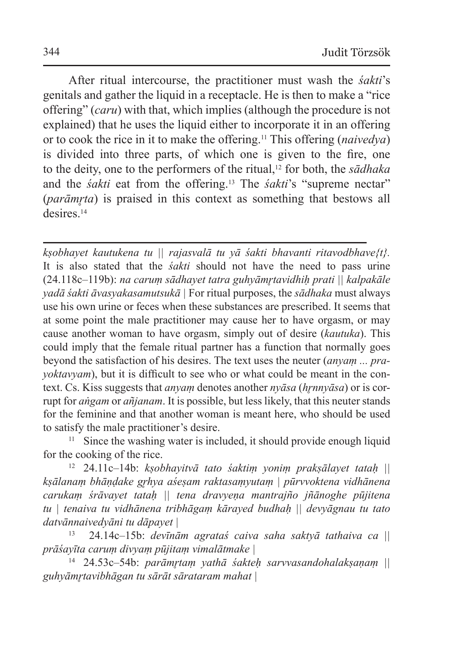After ritual intercourse, the practitioner must wash the *śakti*'s genitals and gather the liquid in a receptacle. He is then to make a "rice offering" (*caru*) with that, which implies (although the procedure is not explained) that he uses the liquid either to incorporate it in an offering or to cook the rice in it to make the offering.11 This offering (*naivedya*) is divided into three parts, of which one is given to the fire, one to the deity, one to the performers of the ritual,12 for both, the *sādhaka* and the *śakti* eat from the offering.13 The *śakti*'s "supreme nectar" (*parāmrta*) is praised in this context as something that bestows all desires<sup>14</sup>

*kṣobhayet kautukena tu || rajasvalā tu yā śakti bhavanti ritavodbhave{t}.*  It is also stated that the *śakti* should not have the need to pass urine (24.118c–119b): *na caruṃ sādhayet tatra guhyāmr̥tavidhiḥ prati || kalpakāle yadā śakti āvasyakasamutsukā |* For ritual purposes, the *sādhaka* must always use his own urine or feces when these substances are prescribed. It seems that at some point the male practitioner may cause her to have orgasm, or may cause another woman to have orgasm, simply out of desire (*kautuka*). This could imply that the female ritual partner has a function that normally goes beyond the satisfaction of his desires. The text uses the neuter (*anyaṃ ... prayoktavyam*), but it is difficult to see who or what could be meant in the context. Cs. Kiss suggests that *anyaṃ* denotes another *nyāsa* (*hr̥nnyāsa*) or is corrupt for *aṅgam* or *añjanam*. It is possible, but less likely, that this neuter stands for the feminine and that another woman is meant here, who should be used to satisfy the male practitioner's desire.

<sup>11</sup> Since the washing water is included, it should provide enough liquid for the cooking of the rice.

<sup>12</sup> 24.11c–14b: *kṣobhayitvā tato śaktiṃ yoniṃ prakṣālayet tataḥ || kṣālanaṃ bhāṇḍake gr̥hya aśeṣam raktasaṃyutaṃ | pūrvvoktena vidhānena carukaṃ śrāvayet tataḥ || tena dravyeṇa mantrajño jñānoghe pūjitena tu | tenaiva tu vidhānena tribhāgaṃ kārayed budhaḥ || devyāgnau tu tato datvānnaivedyāni tu dāpayet |*

13 24.14c–15b: *devīnām agrataś caiva saha saktyā tathaiva ca || prāśayīta caruṃ divyaṃ pūjitaṃ vimalātmake |*

<sup>14</sup> 24.53c–54b: *parāmr̥taṃ yathā śakteḥ sarvvasandohalakṣaṇaṃ || guhyāmr̥tavibhāgan tu sārāt sārataram mahat |*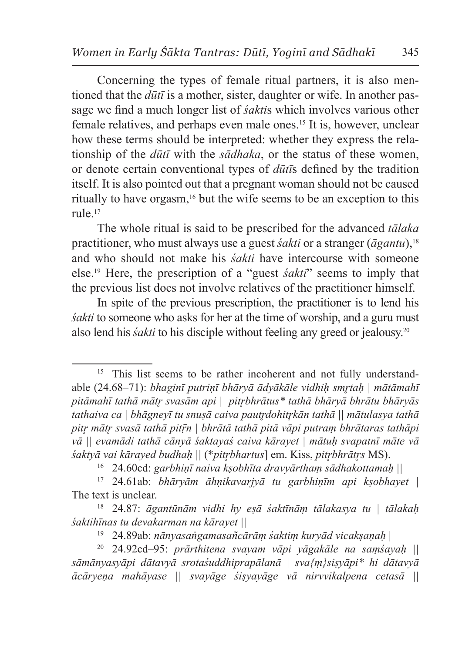Concerning the types of female ritual partners, it is also mentioned that the *dūtī* is a mother, sister, daughter or wife. In another passage we find a much longer list of *śakti*s which involves various other female relatives, and perhaps even male ones.15 It is, however, unclear how these terms should be interpreted: whether they express the relationship of the *dūtī* with the *sādhaka*, or the status of these women, or denote certain conventional types of *dūtī*s defined by the tradition itself. It is also pointed out that a pregnant woman should not be caused ritually to have orgasm,16 but the wife seems to be an exception to this rule.17

The whole ritual is said to be prescribed for the advanced *tālaka* practitioner, who must always use a guest *śakti* or a stranger (*āgantu*),18 and who should not make his *śakti* have intercourse with someone else.19 Here, the prescription of a "guest *śakti*" seems to imply that the previous list does not involve relatives of the practitioner himself.

In spite of the previous prescription, the practitioner is to lend his *śakti* to someone who asks for her at the time of worship, and a guru must also lend his *śakti* to his disciple without feeling any greed or jealousy.20

<sup>&</sup>lt;sup>15</sup> This list seems to be rather incoherent and not fully understandable (24.68–71): *bhaginī putriṇī bhāryā ādyākāle vidhiḥ smr̥taḥ | mātāmahī pitāmahī tathā mātr̥ svasām api || pitr̥bhrātus\* tathā bhāryā bhrātu bhāryās tathaiva ca | bhāgneyī tu snuṣā caiva pautr̥dohitr̥kān tathā || mātulasya tathā pitr̥ mātr̥ svasā tathā pitṝn | bhrātā tathā pitā vāpi putraṃ bhrātaras tathāpi vā || evamādi tathā cānyā śaktayaś caiva kārayet | mātuḥ svapatnī māte vā śaktyā vai kārayed budhaḥ ||* (\**pitr̥bhartus*] em. Kiss, *pitr̥bhrātr̥s* MS).

<sup>16</sup> 24.60cd: *garbhiṇī naiva kṣobhīta dravyārthaṃ sādhakottamaḥ ||*

<sup>17</sup> 24.61ab: *bhāryām āhṇikavarjyā tu garbhiṇīm api kṣobhayet |* The text is unclear.

<sup>18</sup> 24.87: *āgantūnām vidhi hy eṣā śaktīnāṃ tālakasya tu | tālakaḥ śaktihīnas tu devakarman na kārayet ||*

<sup>19</sup> 24.89ab: *nānyasaṅgamasañcārāṃ śaktiṃ kuryād vicakṣaṇaḥ* |

<sup>20</sup> 24.92cd–95: *prārthitena svayam vāpi yāgakāle na saṃśayaḥ || sāmānyasyāpi dātavyā srotaśuddhiprapālanā | sva{ṃ}siṣyāpi\* hi dātavyā ācāryeṇa mahāyase || svayāge śiṣyayāge vā nirvvikalpena cetasā ||*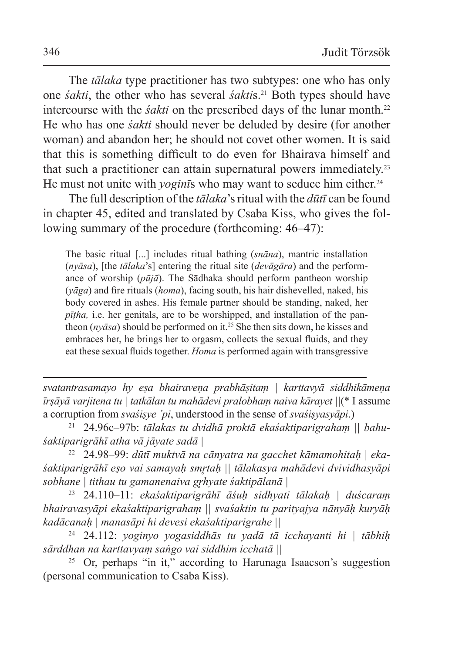The *tālaka* type practitioner has two subtypes: one who has only one *śakti*, the other who has several *śakti*s.21 Both types should have intercourse with the *śakti* on the prescribed days of the lunar month.<sup>22</sup> He who has one *śakti* should never be deluded by desire (for another woman) and abandon her; he should not covet other women. It is said that this is something difficult to do even for Bhairava himself and that such a practitioner can attain supernatural powers immediately.23 He must not unite with *yogin*<sup>1</sup>s who may want to seduce him either.<sup>24</sup>

The full description of the *tālaka*'s ritual with the *dūtī* can be found in chapter 45, edited and translated by Csaba Kiss, who gives the following summary of the procedure (forthcoming: 46–47):

The basic ritual [...] includes ritual bathing (*snāna*), mantric installation (*nyāsa*), [the *tālaka*'s] entering the ritual site (*devāgāra*) and the performance of worship (*pūjā*). The Sādhaka should perform pantheon worship (*yāga*) and fire rituals (*homa*), facing south, his hair dishevelled, naked, his body covered in ashes. His female partner should be standing, naked, her *pīṭha,* i.e. her genitals, are to be worshipped, and installation of the pantheon (*nyāsa*) should be performed on it.25 She then sits down, he kisses and embraces her, he brings her to orgasm, collects the sexual fluids, and they eat these sexual fluids together. *Homa* is performed again with transgressive

*svatantrasamayo hy eṣa bhairaveṇa prabhāṣitaṃ | karttavyā siddhikāmeṇa īrṣāyā varjitena tu | tatkālan tu mahādevi pralobhaṃ naiva kārayet ||*(\* I assume a corruption from *svaśiṣye 'pi*, understood in the sense of *svaśiṣyasyāpi*.)

<sup>21</sup> 24.96c–97b: *tālakas tu dvidhā proktā ekaśaktiparigrahaṃ || bahuśaktiparigrāhī atha vā jāyate sadā |*

<sup>22</sup> 24.98–99: *dūtī muktvā na cānyatra na gacchet kāmamohitaḥ | ekaśaktiparigrāhī eṣo vai samayaḥ smr̥taḥ || tālakasya mahādevi dvividhasyāpi sobhane | tithau tu gamanenaiva gr̥hyate śaktipālanā |*

<sup>23</sup> 24.110–11: *ekaśaktiparigrāhī āśuḥ sidhyati tālakaḥ | duścaraṃ bhairavasyāpi ekaśaktiparigrahaṃ || svaśaktin tu parityajya nānyāḥ kuryāḥ kadācanaḥ | manasāpi hi devesi ekaśaktiparigrahe ||*

<sup>24</sup> 24.112: *yoginyo yogasiddhās tu yadā tā icchayanti hi | tābhiḥ sārddhan na karttavyaṃ saṅgo vai siddhim icchatā ||*

<sup>25</sup> Or, perhaps "in it," according to Harunaga Isaacson's suggestion (personal communication to Csaba Kiss).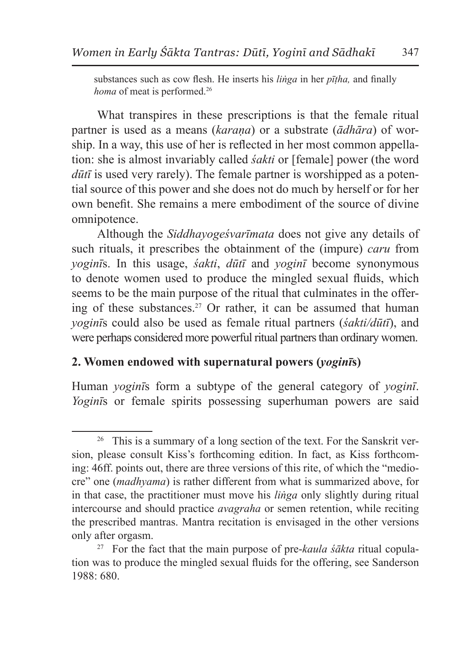substances such as cow flesh. He inserts his *liṅga* in her *pīṭha,* and finally *homa* of meat is performed.<sup>26</sup>

What transpires in these prescriptions is that the female ritual partner is used as a means (*karaṇa*) or a substrate (*ādhāra*) of worship. In a way, this use of her is reflected in her most common appellation: she is almost invariably called *śakti* or [female] power (the word *dūtī* is used very rarely). The female partner is worshipped as a potential source of this power and she does not do much by herself or for her own benefit. She remains a mere embodiment of the source of divine omnipotence.

Although the *Siddhayogeśvarīmata* does not give any details of such rituals, it prescribes the obtainment of the (impure) *caru* from *yoginī*s. In this usage, *śakti*, *dūtī* and *yoginī* become synonymous to denote women used to produce the mingled sexual fluids, which seems to be the main purpose of the ritual that culminates in the offering of these substances.27 Or rather, it can be assumed that human *yoginī*s could also be used as female ritual partners (*śakti/dūtī*), and were perhaps considered more powerful ritual partners than ordinary women.

## **2. Women endowed with supernatural powers (***yoginī***s)**

Human *yoginī*s form a subtype of the general category of *yoginī*. *Yoginī*s or female spirits possessing superhuman powers are said

<sup>&</sup>lt;sup>26</sup> This is a summary of a long section of the text. For the Sanskrit version, please consult Kiss's forthcoming edition. In fact, as Kiss forthcoming: 46ff. points out, there are three versions of this rite, of which the "mediocre" one (*madhyama*) is rather different from what is summarized above, for in that case, the practitioner must move his *liṅga* only slightly during ritual intercourse and should practice *avagraha* or semen retention, while reciting the prescribed mantras. Mantra recitation is envisaged in the other versions only after orgasm. 27 For the fact that the main purpose of pre-*kaula śākta* ritual copula-

tion was to produce the mingled sexual fluids for the offering, see Sanderson 1988: 680.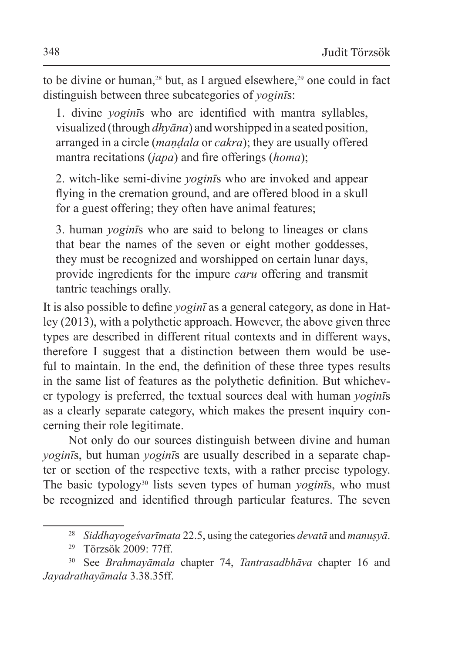to be divine or human,<sup>28</sup> but, as I argued elsewhere,<sup>29</sup> one could in fact distinguish between three subcategories of *yoginī*s:

1. divine *yoginī*s who are identified with mantra syllables, visualized (through *dhyāna*) and worshipped in a seated position, arranged in a circle (*maṇḍala* or *cakra*); they are usually offered mantra recitations (*japa*) and fire offerings (*homa*);

2. witch-like semi-divine *yoginī*s who are invoked and appear flying in the cremation ground, and are offered blood in a skull for a guest offering; they often have animal features;

3. human *yoginī*s who are said to belong to lineages or clans that bear the names of the seven or eight mother goddesses, they must be recognized and worshipped on certain lunar days, provide ingredients for the impure *caru* offering and transmit tantric teachings orally.

It is also possible to define *yoginī* as a general category, as done in Hatley (2013), with a polythetic approach. However, the above given three types are described in different ritual contexts and in different ways, therefore I suggest that a distinction between them would be useful to maintain. In the end, the definition of these three types results in the same list of features as the polythetic definition. But whichever typology is preferred, the textual sources deal with human *yoginī*s as a clearly separate category, which makes the present inquiry concerning their role legitimate.

Not only do our sources distinguish between divine and human *yoginī*s, but human *yoginī*s are usually described in a separate chapter or section of the respective texts, with a rather precise typology. The basic typology30 lists seven types of human *yoginī*s, who must be recognized and identified through particular features. The seven

<sup>28</sup> *Siddhayogeśvarīmata* 22.5, using the categories *devatā* and *manuṣyā*.

<sup>29</sup> Törzsök 2009: 77ff.

<sup>30</sup> See *Brahmayāmala* chapter 74, *Tantrasadbhāva* chapter 16 and *Jayadrathayāmala* 3.38.35ff.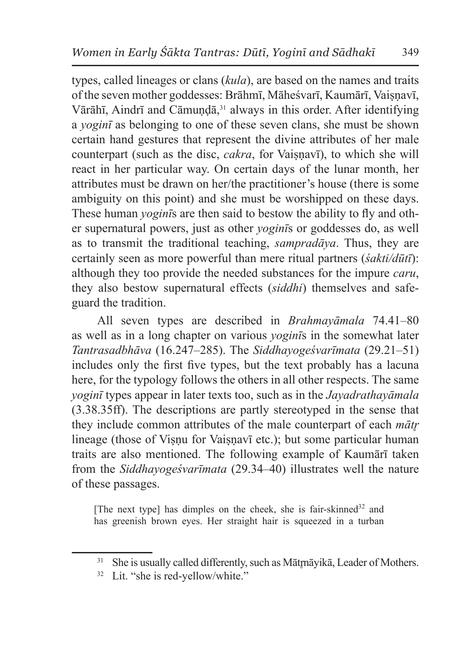types, called lineages or clans (*kula*), are based on the names and traits of the seven mother goddesses: Brāhmī, Māheśvarī, Kaumārī, Vaisnavī, Vārāhī, Aindrī and Cāmundā,<sup>31</sup> always in this order. After identifying a *yoginī* as belonging to one of these seven clans, she must be shown certain hand gestures that represent the divine attributes of her male counterpart (such as the disc, *cakra*, for Vaisnavī), to which she will react in her particular way. On certain days of the lunar month, her attributes must be drawn on her/the practitioner's house (there is some ambiguity on this point) and she must be worshipped on these days. These human *yoginī*s are then said to bestow the ability to fly and other supernatural powers, just as other *yoginī*s or goddesses do, as well as to transmit the traditional teaching, *sampradāya*. Thus, they are certainly seen as more powerful than mere ritual partners (*śakti/dūtī*): although they too provide the needed substances for the impure *caru*, they also bestow supernatural effects (*siddhi*) themselves and safeguard the tradition.

All seven types are described in *Brahmayāmala* 74.41–80 as well as in a long chapter on various *yoginī*s in the somewhat later *Tantrasadbhāva* (16.247–285). The *Siddhayogeśvarīmata* (29.21–51) includes only the first five types, but the text probably has a lacuna here, for the typology follows the others in all other respects. The same *yoginī* types appear in later texts too, such as in the *Jayadrathayāmala* (3.38.35ff). The descriptions are partly stereotyped in the sense that they include common attributes of the male counterpart of each *mātr̥* lineage (those of Visnu for Vaisnavī etc.); but some particular human traits are also mentioned. The following example of Kaumārī taken from the *Siddhayogeśvarīmata* (29.34–40) illustrates well the nature of these passages.

[The next type] has dimples on the cheek, she is fair-skinned<sup>32</sup> and has greenish brown eyes. Her straight hair is squeezed in a turban

<sup>&</sup>lt;sup>31</sup> She is usually called differently, such as Mātrnāyikā, Leader of Mothers.

<sup>&</sup>lt;sup>32</sup> Lit. "she is red-yellow/white."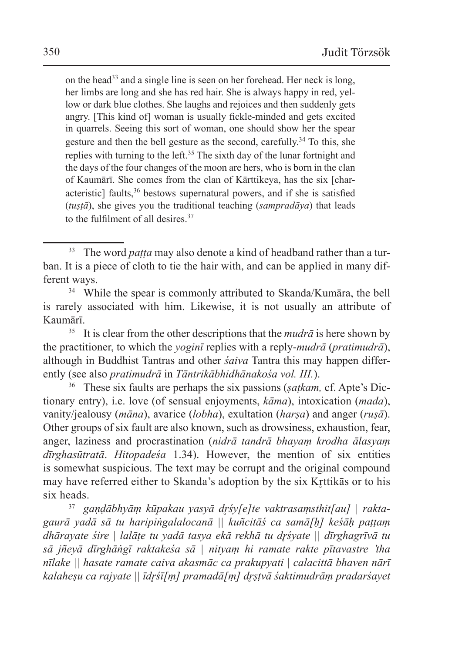on the head33 and a single line is seen on her forehead. Her neck is long, her limbs are long and she has red hair. She is always happy in red, yellow or dark blue clothes. She laughs and rejoices and then suddenly gets angry. [This kind of] woman is usually fickle-minded and gets excited in quarrels. Seeing this sort of woman, one should show her the spear gesture and then the bell gesture as the second, carefully.<sup>34</sup> To this, she replies with turning to the left.<sup>35</sup> The sixth day of the lunar fortnight and the days of the four changes of the moon are hers, who is born in the clan of Kaumārī. She comes from the clan of Kārttikeya, has the six [characteristic] faults,  $36$  bestows supernatural powers, and if she is satisfied (*tuṣṭā*), she gives you the traditional teaching (*sampradāya*) that leads to the fulfilment of all desires.37

<sup>35</sup> It is clear from the other descriptions that the *mudrā* is here shown by the practitioner, to which the *yoginī* replies with a reply-*mudrā* (*pratimudrā*), although in Buddhist Tantras and other *śaiva* Tantra this may happen differently (see also *pratimudrā* in *Tāntrikābhidhānakośa vol. III.*).

<sup>36</sup> These six faults are perhaps the six passions (*ṣaṭkam,* cf. Apte's Dictionary entry), i.e. love (of sensual enjoyments, *kāma*), intoxication (*mada*), vanity/jealousy (*māna*), avarice (*lobha*), exultation (*harṣa*) and anger (*ruṣā*). Other groups of six fault are also known, such as drowsiness, exhaustion, fear, anger, laziness and procrastination (*nidrā tandrā bhayaṃ krodha ālasyaṃ dīrghasūtratā*. *Hitopadeśa* 1.34). However, the mention of six entities is somewhat suspicious. The text may be corrupt and the original compound may have referred either to Skanda's adoption by the six Krttikas or to his six heads. 37 *gaṇḍābhyāṃ kūpakau yasyā dr̥śy[e]te vaktrasaṃsthit[au] | rakta-*

*gaurā yadā sā tu haripiṅgalalocanā || kuñcitāś ca samā[ḥ] keśāḥ paṭṭaṃ dhārayate śire | lalāṭe tu yadā tasya ekā rekhā tu dr̥śyate || dīrghagrīvā tu sā jñeyā dīrghāṅgī raktakeśa sā | nityaṃ hi ramate rakte pītavastre 'tha nīlake || hasate ramate caiva akasmāc ca prakupyati | calacittā bhaven nārī kalaheṣu ca rajyate || īdr̥śī[ṃ] pramadā[ṃ] dr̥ṣṭvā śaktimudrāṃ pradarśayet* 

<sup>&</sup>lt;sup>33</sup> The word *paṭṭa* may also denote a kind of headband rather than a turban. It is a piece of cloth to tie the hair with, and can be applied in many different ways.

<sup>34</sup> While the spear is commonly attributed to Skanda/Kumāra, the bell is rarely associated with him. Likewise, it is not usually an attribute of Kaumārī.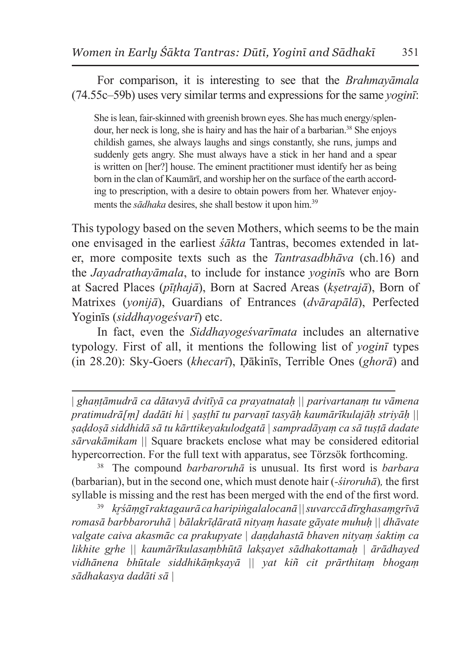For comparison, it is interesting to see that the *Brahmayāmala* (74.55c–59b) uses very similar terms and expressions for the same *yoginī*:

She islean, fair-skinned with greenish brown eyes. She has much energy/splendour, her neck is long, she is hairy and has the hair of a barbarian.<sup>38</sup> She enjoys childish games, she always laughs and sings constantly, she runs, jumps and suddenly gets angry. She must always have a stick in her hand and a spear is written on [her?] house. The eminent practitioner must identify her as being born in the clan of Kaumārī, and worship her on the surface of the earth according to prescription, with a desire to obtain powers from her. Whatever enjoyments the *sādhaka* desires, she shall bestow it upon him.<sup>39</sup>

This typology based on the seven Mothers, which seems to be the main one envisaged in the earliest *śākta* Tantras, becomes extended in later, more composite texts such as the *Tantrasadbhāva* (ch.16) and the *Jayadrathayāmala*, to include for instance *yoginī*s who are Born at Sacred Places (*pīṭhajā*), Born at Sacred Areas (*kṣetrajā*), Born of Matrixes (*yonijā*), Guardians of Entrances (*dvārapālā*), Perfected Yoginīs (*siddhayogeśvarī*) etc.

In fact, even the *Siddhayogeśvarīmata* includes an alternative typology. First of all, it mentions the following list of *yoginī* types (in 28.20): Sky-Goers (*khecarī*), Ḍākinīs, Terrible Ones (*ghorā*) and

| *ghaṇṭāmudrā ca dātavyā dvitīyā ca prayatnataḥ || parivartanaṃ tu vāmena pratimudrā[ṃ] dadāti hi | ṣaṣṭhī tu parvaṇī tasyāḥ kaumārīkulajāḥ striyāḥ || ṣaḍdoṣā siddhidā sā tu kārttikeyakulodgatā | sampradāyaṃ ca sā tuṣṭā dadate sārvakāmikam ||* Square brackets enclose what may be considered editorial hypercorrection. For the full text with apparatus, see Törzsök forthcoming.

<sup>38</sup> The compound *barbaroruhā* is unusual. Its first word is *barbara* (barbarian), but in the second one, which must denote hair (*-śiroruhā*)*,* the first syllable is missing and the rest has been merged with the end of the first word.

<sup>39</sup> *kr̥śāṃgī raktagaurā ca haripiṅgalalocanā || suvarccā dīrghasaṃgrīvā romasā barbbaroruhā | bālakrīḍāratā nityaṃ hasate gāyate muhuḥ || dhāvate valgate caiva akasmāc ca prakupyate | daṇḍahastā bhaven nityaṃ śaktiṃ ca likhite gr̥he || kaumārīkulasaṃbhūtā lakṣayet sādhakottamaḥ | ārādhayed vidhānena bhūtale siddhikāṃkṣayā || yat kiñ cit prārthitaṃ bhogaṃ sādhakasya dadāti sā |*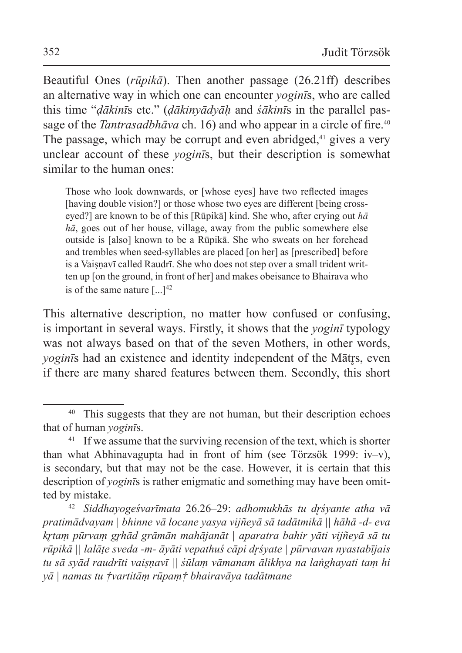Beautiful Ones (*rūpikā*). Then another passage (26.21ff) describes an alternative way in which one can encounter *yoginī*s, who are called this time "*ḍākinī*s etc." (*ḍākinyādyāḥ* and *śākinī*s in the parallel passage of the *Tantrasadbhāva* ch. 16) and who appear in a circle of fire.<sup>40</sup> The passage, which may be corrupt and even abridged,<sup>41</sup> gives a very unclear account of these *yoginī*s, but their description is somewhat similar to the human ones:

Those who look downwards, or [whose eyes] have two reflected images [having double vision?] or those whose two eyes are different [being crosseyed?] are known to be of this [Rūpikā] kind. She who, after crying out *hā hā*, goes out of her house, village, away from the public somewhere else outside is [also] known to be a Rūpikā. She who sweats on her forehead and trembles when seed-syllables are placed [on her] as [prescribed] before is a Vaiṣṇavī called Raudrī. She who does not step over a small trident written up [on the ground, in front of her] and makes obeisance to Bhairava who is of the same nature  $[$ ...]<sup>42</sup>

This alternative description, no matter how confused or confusing, is important in several ways. Firstly, it shows that the *yoginī* typology was not always based on that of the seven Mothers, in other words, *yogin*<sup>s</sup> had an existence and identity independent of the Matrs, even if there are many shared features between them. Secondly, this short

<sup>&</sup>lt;sup>40</sup> This suggests that they are not human, but their description echoes that of human *yoginī*s.

 $41$  If we assume that the surviving recension of the text, which is shorter than what Abhinavagupta had in front of him (see Törzsök 1999: iv–v), is secondary, but that may not be the case. However, it is certain that this description of *yoginī*s is rather enigmatic and something may have been omitted by mistake.

<sup>42</sup> *Siddhayogeśvarīmata* 26.26–29: *adhomukhās tu dr̥śyante atha vā pratimādvayam | bhinne vā locane yasya vijñeyā sā tadātmikā || hāhā -d- eva kr̥taṃ pūrvaṃ gr̥hād grāmān mahājanāt | aparatra bahir yāti vijñeyā sā tu rūpikā || lalāṭe sveda -m- āyāti vepathuś cāpi dr̥śyate | pūrvavan nyastabījais tu sā syād raudrīti vaiṣṇavī || śūlaṃ vāmanam ālikhya na laṅghayati taṃ hi yā | namas tu †vartitāṃ rūpaṃ† bhairavāya tadātmane*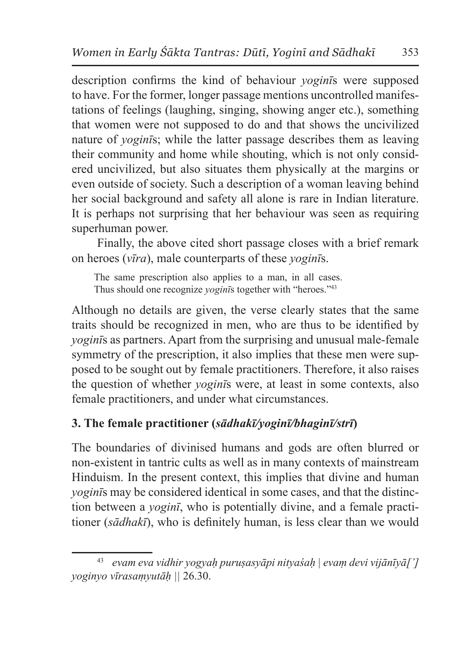description confirms the kind of behaviour *yoginī*s were supposed to have. For the former, longer passage mentions uncontrolled manifestations of feelings (laughing, singing, showing anger etc.), something that women were not supposed to do and that shows the uncivilized nature of *yoginī*s; while the latter passage describes them as leaving their community and home while shouting, which is not only considered uncivilized, but also situates them physically at the margins or even outside of society. Such a description of a woman leaving behind her social background and safety all alone is rare in Indian literature. It is perhaps not surprising that her behaviour was seen as requiring superhuman power.

Finally, the above cited short passage closes with a brief remark on heroes (*vīra*), male counterparts of these *yoginī*s.

The same prescription also applies to a man, in all cases. Thus should one recognize *yoginī*s together with "heroes."43

Although no details are given, the verse clearly states that the same traits should be recognized in men, who are thus to be identified by *yoginī*s as partners. Apart from the surprising and unusual male-female symmetry of the prescription, it also implies that these men were supposed to be sought out by female practitioners. Therefore, it also raises the question of whether *yoginī*s were, at least in some contexts, also female practitioners, and under what circumstances.

## **3. The female practitioner (***sādhakī/yoginī/bhaginī/strī***)**

The boundaries of divinised humans and gods are often blurred or non-existent in tantric cults as well as in many contexts of mainstream Hinduism. In the present context, this implies that divine and human *yoginī*s may be considered identical in some cases, and that the distinction between a *yoginī*, who is potentially divine, and a female practitioner (*sādhakī*), who is definitely human, is less clear than we would

<sup>43</sup> *evam eva vidhir yogyaḥ puruṣasyāpi nityaśaḥ | evaṃ devi vijānīyā['] yoginyo vīrasaṃyutāḥ ||* 26.30.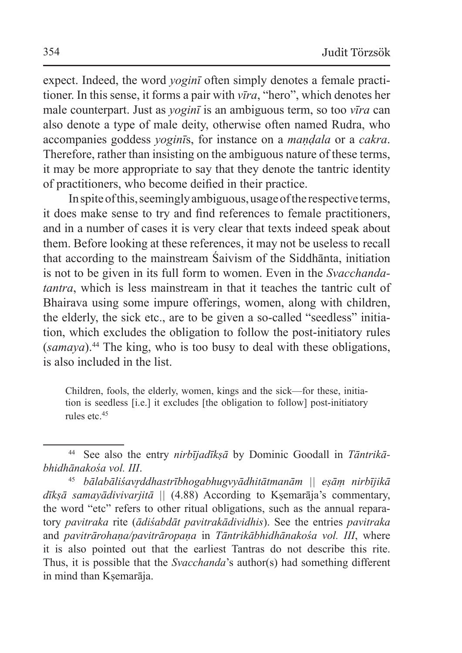expect. Indeed, the word *yoginī* often simply denotes a female practitioner. In this sense, it forms a pair with *vīra*, "hero", which denotes her male counterpart. Just as *yoginī* is an ambiguous term, so too *vīra* can also denote a type of male deity, otherwise often named Rudra, who accompanies goddess *yoginī*s, for instance on a *maṇḍala* or a *cakra*. Therefore, rather than insisting on the ambiguous nature of these terms, it may be more appropriate to say that they denote the tantric identity of practitioners, who become deified in their practice.

In spite of this, seemingly ambiguous, usage of the respective terms, it does make sense to try and find references to female practitioners, and in a number of cases it is very clear that texts indeed speak about them. Before looking at these references, it may not be useless to recall that according to the mainstream Śaivism of the Siddhānta, initiation is not to be given in its full form to women. Even in the *Svacchandatantra*, which is less mainstream in that it teaches the tantric cult of Bhairava using some impure offerings, women, along with children, the elderly, the sick etc., are to be given a so-called "seedless" initiation, which excludes the obligation to follow the post-initiatory rules (*samaya*).44 The king, who is too busy to deal with these obligations, is also included in the list.

Children, fools, the elderly, women, kings and the sick—for these, initiation is seedless [i.e.] it excludes [the obligation to follow] post-initiatory rules etc.<sup>45</sup>

<sup>44</sup> See also the entry *nirbījadīkṣā* by Dominic Goodall in *Tāntrikābhidhānakośa vol. III*.

<sup>45</sup> *bālabāliśavr̥ddhastrībhogabhugvyādhitātmanām || eṣāṃ nirbījikā dīkṣā samayādivivarjitā ||* (4.88) According to Kṣemarāja's commentary, the word "etc" refers to other ritual obligations, such as the annual reparatory *pavitraka* rite (*ādiśabdāt pavitrakādividhis*). See the entries *pavitraka* and *pavitrārohaṇa/pavitrāropaṇa* in *Tāntrikābhidhānakośa vol. III*, where it is also pointed out that the earliest Tantras do not describe this rite. Thus, it is possible that the *Svacchanda*'s author(s) had something different in mind than Kṣemarāja.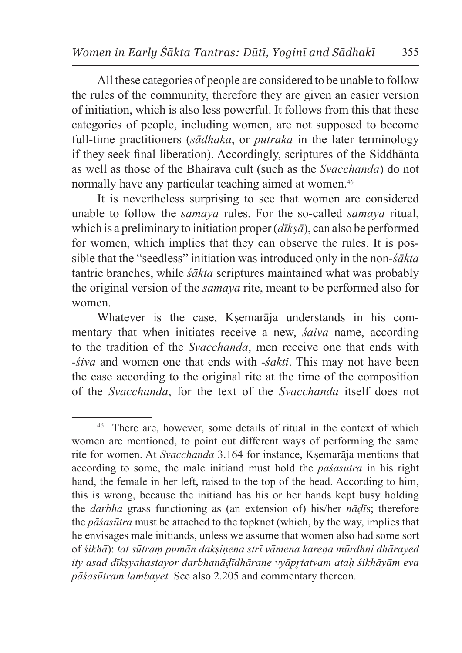All these categories of people are considered to be unable to follow the rules of the community, therefore they are given an easier version of initiation, which is also less powerful. It follows from this that these categories of people, including women, are not supposed to become full-time practitioners (*sādhaka*, or *putraka* in the later terminology if they seek final liberation). Accordingly, scriptures of the Siddhānta as well as those of the Bhairava cult (such as the *Svacchanda*) do not normally have any particular teaching aimed at women.46

It is nevertheless surprising to see that women are considered unable to follow the *samaya* rules. For the so-called *samaya* ritual, which is a preliminary to initiation proper (*dīkṣā*), can also be performed for women, which implies that they can observe the rules. It is possible that the "seedless" initiation was introduced only in the non-*śākta* tantric branches, while *śākta* scriptures maintained what was probably the original version of the *samaya* rite, meant to be performed also for women.

Whatever is the case, Ksemarāja understands in his commentary that when initiates receive a new, *śaiva* name, according to the tradition of the *Svacchanda*, men receive one that ends with *-śiva* and women one that ends with *-śakti*. This may not have been the case according to the original rite at the time of the composition of the *Svacchanda*, for the text of the *Svacchanda* itself does not

<sup>46</sup> There are, however, some details of ritual in the context of which women are mentioned, to point out different ways of performing the same rite for women. At *Svacchanda* 3.164 for instance, Kṣemarāja mentions that according to some, the male initiand must hold the *pāśasūtra* in his right hand, the female in her left, raised to the top of the head. According to him, this is wrong, because the initiand has his or her hands kept busy holding the *darbha* grass functioning as (an extension of) his/her *nāḍī*s; therefore the *pāśasūtra* must be attached to the topknot (which, by the way, implies that he envisages male initiands, unless we assume that women also had some sort of *śikhā*): *tat sūtraṃ pumān dakṣiṇena strī vāmena kareṇa mūrdhni dhārayed ity asad dīkṣyahastayor darbhanāḍīdhāraṇe vyāpr̥tatvam ataḥ śikhāyām eva pāśasūtram lambayet.* See also 2.205 and commentary thereon.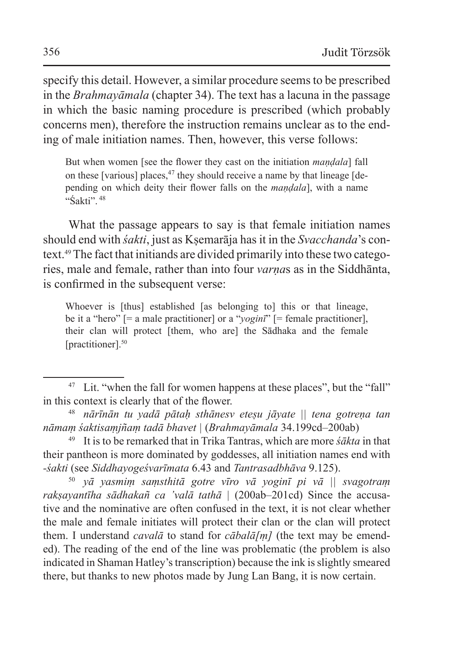specify this detail. However, a similar procedure seems to be prescribed in the *Brahmayāmala* (chapter 34). The text has a lacuna in the passage in which the basic naming procedure is prescribed (which probably concerns men), therefore the instruction remains unclear as to the ending of male initiation names. Then, however, this verse follows:

But when women [see the flower they cast on the initiation *maṇḍala*] fall on these [various] places,  $47$  they should receive a name by that lineage [depending on which deity their flower falls on the *maṇḍala*], with a name "Śakti"<sup>48</sup>

What the passage appears to say is that female initiation names should end with *śakti*, just as Kṣemarāja has it in the *Svacchanda*'s context.49 The fact that initiands are divided primarily into these two categories, male and female, rather than into four *varṇa*s as in the Siddhānta, is confirmed in the subsequent verse:

Whoever is [thus] established [as belonging to] this or that lineage, be it a "hero" [= a male practitioner] or a "*yoginī*" [= female practitioner], their clan will protect [them, who are] the Sādhaka and the female [practitioner].<sup>50</sup>

<sup>50</sup> *yā yasmiṃ saṃsthitā gotre vīro vā yoginī pi vā || svagotraṃ rakṣayantīha sādhakañ ca 'valā tathā |* (200ab–201cd) Since the accusative and the nominative are often confused in the text, it is not clear whether the male and female initiates will protect their clan or the clan will protect them. I understand *cavalā* to stand for *cābalā[ṃ]* (the text may be emended). The reading of the end of the line was problematic (the problem is also indicated in Shaman Hatley's transcription) because the ink isslightly smeared there, but thanks to new photos made by Jung Lan Bang, it is now certain.

<sup>&</sup>lt;sup>47</sup> Lit. "when the fall for women happens at these places", but the "fall" in this context is clearly that of the flower.

<sup>48</sup> *nārīnān tu yadā pātaḥ sthānesv eteṣu jāyate || tena gotreṇa tan nāmaṃ śaktisaṃjñaṃ tadā bhavet |* (*Brahmayāmala* 34.199cd–200ab)

<sup>49</sup> It is to be remarked that in Trika Tantras, which are more *śākta* in that their pantheon is more dominated by goddesses, all initiation names end with *-śakti* (see *Siddhayogeśvarīmata* 6.43 and *Tantrasadbhāva* 9.125).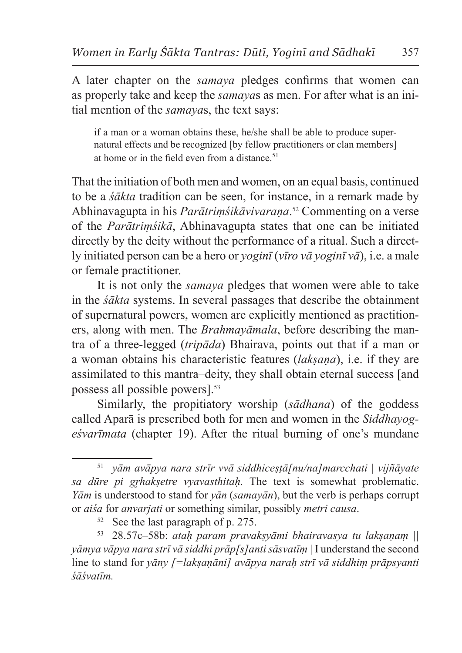A later chapter on the *samaya* pledges confirms that women can as properly take and keep the *samaya*s as men. For after what is an initial mention of the *samaya*s, the text says:

if a man or a woman obtains these, he/she shall be able to produce supernatural effects and be recognized [by fellow practitioners or clan members] at home or in the field even from a distance.<sup>51</sup>

That the initiation of both men and women, on an equal basis, continued to be a *śākta* tradition can be seen, for instance, in a remark made by Abhinavagupta in his *Parātriṃśikāvivaraṇa*. <sup>52</sup> Commenting on a verse of the *Parātriṃśikā*, Abhinavagupta states that one can be initiated directly by the deity without the performance of a ritual. Such a directly initiated person can be a hero or *yoginī* (*vīro vā yoginī vā*), i.e. a male or female practitioner.

It is not only the *samaya* pledges that women were able to take in the *śākta* systems. In several passages that describe the obtainment of supernatural powers, women are explicitly mentioned as practitioners, along with men. The *Brahmayāmala*, before describing the mantra of a three-legged (*tripāda*) Bhairava, points out that if a man or a woman obtains his characteristic features (*lakṣaṇa*), i.e. if they are assimilated to this mantra–deity, they shall obtain eternal success [and possess all possible powers].53

Similarly, the propitiatory worship (*sādhana*) of the goddess called Aparā is prescribed both for men and women in the *Siddhayogeśvarīmata* (chapter 19). After the ritual burning of one's mundane

<sup>53</sup> 28.57c–58b: *ataḥ param pravakṣyāmi bhairavasya tu lakṣaṇaṃ || yāmya vāpya nara strī vā siddhi prāp[s]anti sāsvatīṃ |* I understand the second line to stand for *yāny [=lakṣaṇāni] avāpya naraḥ strī vā siddhiṃ prāpsyanti śāśvatīm.*

<sup>51</sup> *yām avāpya nara strīr vvā siddhiceṣṭā[nu/na]marcchati | vijñāyate sa dūre pi gr̥hakṣetre vyavasthitaḥ.* The text is somewhat problematic. *Yām* is understood to stand for *yān* (*samayān*), but the verb is perhaps corrupt or *aiśa* for *anvarjati* or something similar, possibly *metri causa*.

<sup>52</sup> See the last paragraph of p. 275.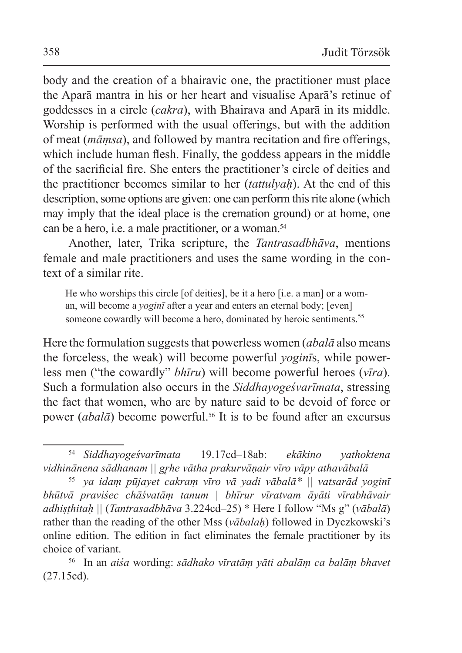body and the creation of a bhairavic one, the practitioner must place the Aparā mantra in his or her heart and visualise Aparā's retinue of goddesses in a circle (*cakra*), with Bhairava and Aparā in its middle. Worship is performed with the usual offerings, but with the addition of meat (*māṃsa*), and followed by mantra recitation and fire offerings, which include human flesh. Finally, the goddess appears in the middle of the sacrificial fire. She enters the practitioner's circle of deities and the practitioner becomes similar to her (*tattulyaḥ*). At the end of this description, some options are given: one can perform this rite alone (which may imply that the ideal place is the cremation ground) or at home, one can be a hero, i.e. a male practitioner, or a woman.<sup>54</sup>

Another, later, Trika scripture, the *Tantrasadbhāva*, mentions female and male practitioners and uses the same wording in the context of a similar rite.

He who worships this circle [of deities], be it a hero [i.e. a man] or a woman, will become a *yoginī* after a year and enters an eternal body; [even] someone cowardly will become a hero, dominated by heroic sentiments.<sup>55</sup>

Here the formulation suggests that powerless women (*abalā* also means the forceless, the weak) will become powerful *yoginī*s, while powerless men ("the cowardly" *bhīru*) will become powerful heroes (*vīra*). Such a formulation also occurs in the *Siddhayogeśvarīmata*, stressing the fact that women, who are by nature said to be devoid of force or power (*abalā*) become powerful.<sup>56</sup> It is to be found after an excursus

<sup>54</sup> *Siddhayogeśvarīmata* 19.17cd–18ab: *ekākino yathoktena vidhinānena sādhanam || gr̥he vātha prakurvāṇair vīro vāpy athavābalā*

<sup>55</sup> *ya idaṃ pūjayet cakraṃ vīro vā yadi vābalā\* || vatsarād yoginī bhūtvā praviśec chāśvatāṃ tanum | bhīrur vīratvam āyāti vīrabhāvair adhiṣṭhitaḥ ||* (*Tantrasadbhāva* 3.224cd–25) \* Here I follow "Ms g" (*vābalā*) rather than the reading of the other Mss (*vābalaḥ*) followed in Dyczkowski's online edition. The edition in fact eliminates the female practitioner by its choice of variant.

<sup>56</sup> In an *aiśa* wording: *sādhako vīratāṃ yāti abalāṃ ca balāṃ bhavet* (27.15cd).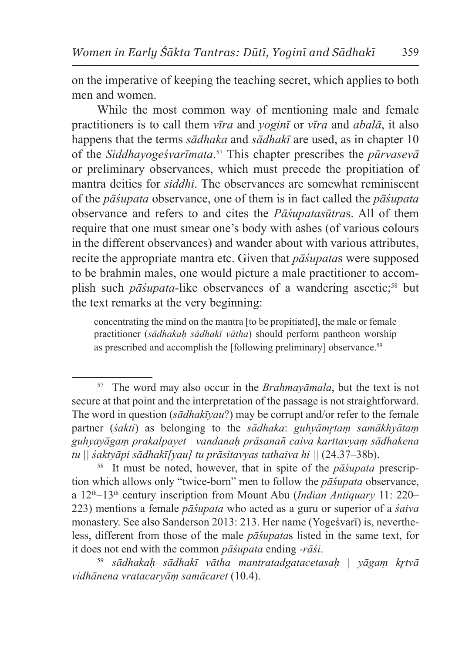on the imperative of keeping the teaching secret, which applies to both men and women.

While the most common way of mentioning male and female practitioners is to call them *vīra* and *yoginī* or *vīra* and *abalā*, it also happens that the terms *sādhaka* and *sādhakī* are used, as in chapter 10 of the *Siddhayogeśvarīmata*. 57 This chapter prescribes the *pūrvasevā* or preliminary observances, which must precede the propitiation of mantra deities for *siddhi*. The observances are somewhat reminiscent of the *pāśupata* observance, one of them is in fact called the *pāśupata* observance and refers to and cites the *Pāśupatasūtra*s. All of them require that one must smear one's body with ashes (of various colours in the different observances) and wander about with various attributes, recite the appropriate mantra etc. Given that *pāśupata*s were supposed to be brahmin males, one would picture a male practitioner to accomplish such *pāśupata*-like observances of a wandering ascetic;<sup>58</sup> but the text remarks at the very beginning:

concentrating the mind on the mantra [to be propitiated], the male or female practitioner (*sādhakaḥ sādhakī vātha*) should perform pantheon worship as prescribed and accomplish the [following preliminary] observance.<sup>59</sup>

<sup>57</sup> The word may also occur in the *Brahmayāmala*, but the text is not secure at that point and the interpretation of the passage is not straightforward. The word in question (*sādhakīyau*?) may be corrupt and/or refer to the female partner (*śakti*) as belonging to the *sādhaka*: *guhyāmr̥taṃ samākhyātaṃ guhyayāgaṃ prakalpayet | vandanaḥ prāsanañ caiva karttavyaṃ sādhakena tu || śaktyāpi sādhakī[yau] tu prāsitavyas tathaiva hi ||* (24.37–38b).

<sup>58</sup> It must be noted, however, that in spite of the *pāśupata* prescription which allows only "twice-born" men to follow the *pāśupata* observance, a 12th–13th century inscription from Mount Abu (*Indian Antiquary* 11: 220– 223) mentions a female *pāśupata* who acted as a guru or superior of a *śaiva* monastery. See also Sanderson 2013: 213. Her name (Yogeśvarī) is, nevertheless, different from those of the male *pāśupata*s listed in the same text, for it does not end with the common *pāśupata* ending *-rāśi*.

<sup>59</sup> *sādhakaḥ sādhakī vātha mantratadgatacetasaḥ | yāgaṃ kr̥tvā vidhānena vratacaryāṃ samācaret* (10.4).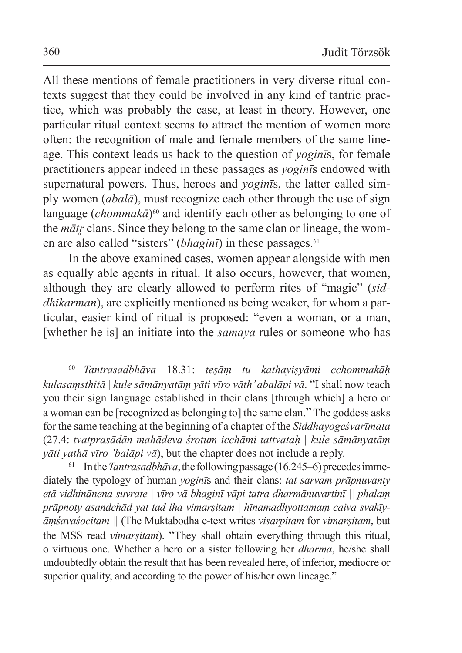All these mentions of female practitioners in very diverse ritual contexts suggest that they could be involved in any kind of tantric practice, which was probably the case, at least in theory. However, one particular ritual context seems to attract the mention of women more often: the recognition of male and female members of the same lineage. This context leads us back to the question of *yoginī*s, for female practitioners appear indeed in these passages as *yoginī*s endowed with supernatural powers. Thus, heroes and *yoginī*s, the latter called simply women (*abalā*), must recognize each other through the use of sign language (*chommakā*)<sup>60</sup> and identify each other as belonging to one of the *mātr* clans. Since they belong to the same clan or lineage, the women are also called "sisters" *(bhaginī)* in these passages.<sup>61</sup>

In the above examined cases, women appear alongside with men as equally able agents in ritual. It also occurs, however, that women, although they are clearly allowed to perform rites of "magic" (*siddhikarman*), are explicitly mentioned as being weaker, for whom a particular, easier kind of ritual is proposed: "even a woman, or a man, [whether he is] an initiate into the *samaya* rules or someone who has

<sup>60</sup> *Tantrasadbhāva* 18.31: *teṣāṃ tu kathayiṣyāmi cchommakāḥ kulasaṃsthitā | kule sāmānyatāṃ yāti vīro vāth' abalāpi vā*. "I shall now teach you their sign language established in their clans [through which] a hero or a woman can be [recognized as belonging to] the same clan." The goddess asks for the same teaching at the beginning of a chapter of the *Siddhayogeśvarīmata* (27.4: *tvatprasādān mahādeva śrotum icchāmi tattvataḥ | kule sāmānyatāṃ yāti yathā vīro 'balāpi vā*), but the chapter does not include a reply.<br><sup>61</sup> In the *Tantrasadbhāva*, the following passage (16.245–6) precedes imme-

diately the typology of human *yoginī*s and their clans: *tat sarvaṃ prāpnuvanty etā vidhinānena suvrate | vīro vā bhaginī vāpi tatra dharmānuvartinī || phalaṃ prāpnoty asandehād yat tad iha vimarṣitam | hīnamadhyottamaṃ caiva svakīyāṃśavaśocitam ||* (The Muktabodha e-text writes *visarpitam* for *vimarṣitam*, but the MSS read *vimarṣitam*). "They shall obtain everything through this ritual, o virtuous one. Whether a hero or a sister following her *dharma*, he/she shall undoubtedly obtain the result that has been revealed here, of inferior, mediocre or superior quality, and according to the power of his/her own lineage."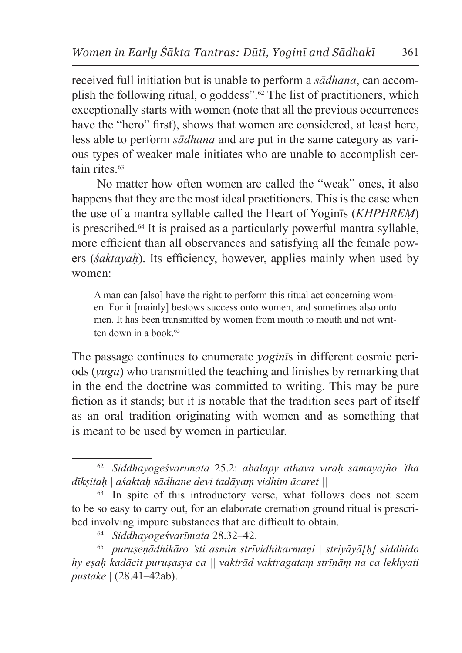received full initiation but is unable to perform a *sādhana*, can accomplish the following ritual, o goddess".62 The list of practitioners, which exceptionally starts with women (note that all the previous occurrences have the "hero" first), shows that women are considered, at least here, less able to perform *sādhana* and are put in the same category as various types of weaker male initiates who are unable to accomplish certain rites.<sup>63</sup>

No matter how often women are called the "weak" ones, it also happens that they are the most ideal practitioners. This is the case when the use of a mantra syllable called the Heart of Yoginīs (*KHPHREṂ*) is prescribed.64 It is praised as a particularly powerful mantra syllable, more efficient than all observances and satisfying all the female powers (*śaktayaḥ*). Its efficiency, however, applies mainly when used by women:

A man can [also] have the right to perform this ritual act concerning women. For it [mainly] bestows success onto women, and sometimes also onto men. It has been transmitted by women from mouth to mouth and not written down in a book.<sup>65</sup>

The passage continues to enumerate *yoginī*s in different cosmic periods (*yuga*) who transmitted the teaching and finishes by remarking that in the end the doctrine was committed to writing. This may be pure fiction as it stands; but it is notable that the tradition sees part of itself as an oral tradition originating with women and as something that is meant to be used by women in particular.

<sup>62</sup> *Siddhayogeśvarīmata* 25.2: *abalāpy athavā vīraḥ samayajño 'tha dīkṣitaḥ | aśaktaḥ sādhane devi tadāyaṃ vidhim ācaret ||*

<sup>&</sup>lt;sup>63</sup> In spite of this introductory verse, what follows does not seem to be so easy to carry out, for an elaborate cremation ground ritual is prescribed involving impure substances that are difficult to obtain.

<sup>64</sup> *Siddhayogeśvarīmata* 28.32–42.

<sup>65</sup> *puruṣeṇādhikāro 'sti asmin strīvidhikarmaṇi | striyāyā[ḥ] siddhido hy eṣaḥ kadācit puruṣasya ca || vaktrād vaktragataṃ strīṇāṃ na ca lekhyati pustake |* (28.41–42ab).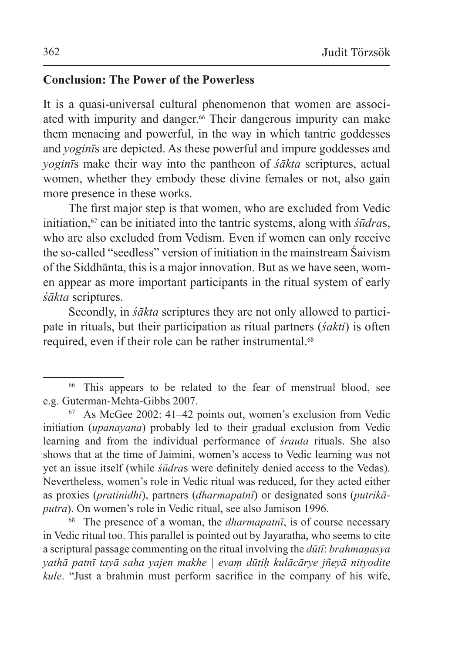### **Conclusion: The Power of the Powerless**

It is a quasi-universal cultural phenomenon that women are associated with impurity and danger.<sup>66</sup> Their dangerous impurity can make them menacing and powerful, in the way in which tantric goddesses and *yoginī*s are depicted. As these powerful and impure goddesses and *yoginī*s make their way into the pantheon of *śākta* scriptures, actual women, whether they embody these divine females or not, also gain more presence in these works.

The first major step is that women, who are excluded from Vedic initiation,<sup>67</sup> can be initiated into the tantric systems, along with *śūdras*, who are also excluded from Vedism. Even if women can only receive the so-called "seedless" version of initiation in the mainstream Śaivism of the Siddhānta, this is a major innovation. But as we have seen, women appear as more important participants in the ritual system of early *śākta* scriptures.

Secondly, in *śākta* scriptures they are not only allowed to participate in rituals, but their participation as ritual partners (*śakti*) is often required, even if their role can be rather instrumental.<sup>68</sup>

<sup>68</sup> The presence of a woman, the *dharmapatnī*, is of course necessary in Vedic ritual too. This parallel is pointed out by Jayaratha, who seems to cite a scriptural passage commenting on the ritual involving the *dūtī*: *brahmaṇasya yathā patnī tayā saha yajen makhe | evaṃ dūtiḥ kulācārye jñeyā nityodite kule*. "Just a brahmin must perform sacrifice in the company of his wife,

<sup>66</sup> This appears to be related to the fear of menstrual blood, see e.g. Guterman-Mehta-Gibbs 2007.

<sup>67</sup> As McGee 2002: 41–42 points out, women's exclusion from Vedic initiation (*upanayana*) probably led to their gradual exclusion from Vedic learning and from the individual performance of *śrauta* rituals. She also shows that at the time of Jaimini, women's access to Vedic learning was not yet an issue itself (while *śūdra*s were definitely denied access to the Vedas). Nevertheless, women's role in Vedic ritual was reduced, for they acted either as proxies (*pratinidhi*), partners (*dharmapatnī*) or designated sons (*putrikāputra*). On women's role in Vedic ritual, see also Jamison 1996.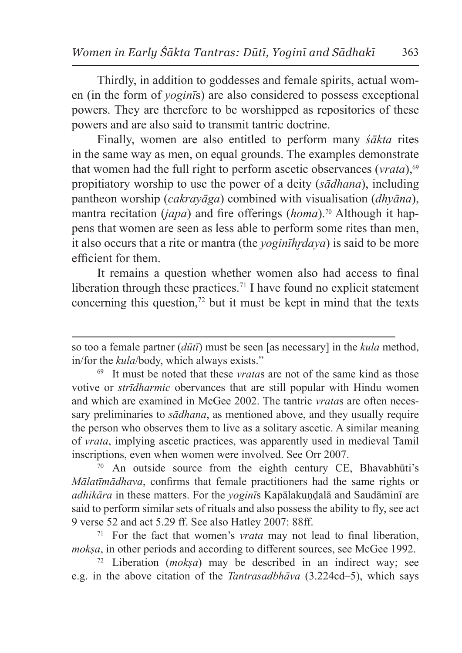Thirdly, in addition to goddesses and female spirits, actual women (in the form of *yoginī*s) are also considered to possess exceptional powers. They are therefore to be worshipped as repositories of these powers and are also said to transmit tantric doctrine.

Finally, women are also entitled to perform many *śākta* rites in the same way as men, on equal grounds. The examples demonstrate that women had the full right to perform ascetic observances (*vrata*),<sup>69</sup> propitiatory worship to use the power of a deity (*sādhana*), including pantheon worship (*cakrayāga*) combined with visualisation (*dhyāna*), mantra recitation (*japa*) and fire offerings (*homa*).70 Although it happens that women are seen as less able to perform some rites than men, it also occurs that a rite or mantra (the *yoginīhr̥daya*) is said to be more efficient for them.

It remains a question whether women also had access to final liberation through these practices.<sup>71</sup> I have found no explicit statement concerning this question, $72$  but it must be kept in mind that the texts

 $70$  An outside source from the eighth century CE, Bhavabhūti's *Mālatīmādhava*, confirms that female practitioners had the same rights or *adhikāra* in these matters. For the *yoginī*s Kapālakuṇḍalā and Saudāminī are said to perform similar sets of rituals and also possess the ability to fly, see act 9 verse 52 and act 5.29 ff. See also Hatley 2007: 88ff.

<sup>71</sup> For the fact that women's *vrata* may not lead to final liberation, *mokṣa*, in other periods and according to different sources, see McGee 1992.

<sup>72</sup> Liberation (*mokṣa*) may be described in an indirect way; see e.g. in the above citation of the *Tantrasadbhāva* (3.224cd–5), which says

so too a female partner (*dūtī*) must be seen [as necessary] in the *kula* method, in/for the *kula*/body, which always exists."

<sup>69</sup> It must be noted that these *vrata*s are not of the same kind as those votive or *strīdharmic* obervances that are still popular with Hindu women and which are examined in McGee 2002. The tantric *vrata*s are often necessary preliminaries to *sādhana*, as mentioned above, and they usually require the person who observes them to live as a solitary ascetic. A similar meaning of *vrata*, implying ascetic practices, was apparently used in medieval Tamil inscriptions, even when women were involved. See Orr 2007.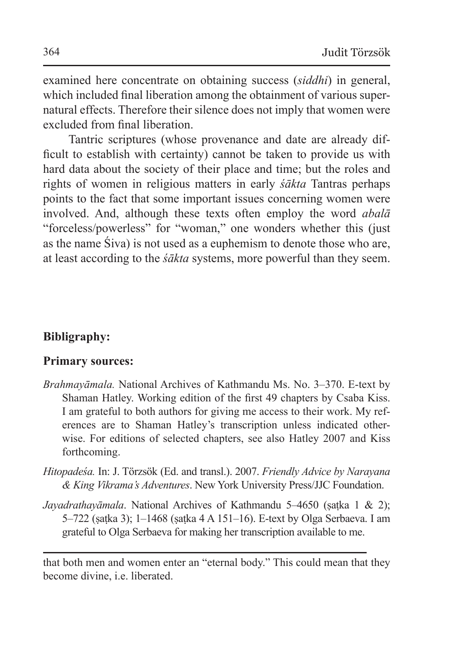examined here concentrate on obtaining success (*siddhi*) in general, which included final liberation among the obtainment of various supernatural effects. Therefore their silence does not imply that women were excluded from final liberation.

Tantric scriptures (whose provenance and date are already difficult to establish with certainty) cannot be taken to provide us with hard data about the society of their place and time; but the roles and rights of women in religious matters in early *śākta* Tantras perhaps points to the fact that some important issues concerning women were involved. And, although these texts often employ the word *abalā* "forceless/powerless" for "woman," one wonders whether this (just as the name Śiva) is not used as a euphemism to denote those who are, at least according to the *śākta* systems, more powerful than they seem.

## **Bibligraphy:**

### **Primary sources:**

- *Brahmayāmala.* National Archives of Kathmandu Ms. No. 3–370. E-text by Shaman Hatley. Working edition of the first 49 chapters by Csaba Kiss. I am grateful to both authors for giving me access to their work. My references are to Shaman Hatley's transcription unless indicated otherwise. For editions of selected chapters, see also Hatley 2007 and Kiss forthcoming.
- *Hitopadeśa.* In: J. Törzsök (Ed. and transl.). 2007. *Friendly Advice by Narayana & King Vikrama's Adventures*. New York University Press/JJC Foundation.
- *Jayadrathayāmala*. National Archives of Kathmandu 5–4650 (ṣaṭka 1 & 2); 5–722 (ṣaṭka 3); 1–1468 (ṣaṭka 4 A 151–16). E-text by Olga Serbaeva. I am grateful to Olga Serbaeva for making her transcription available to me.

that both men and women enter an "eternal body." This could mean that they become divine, i.e. liberated.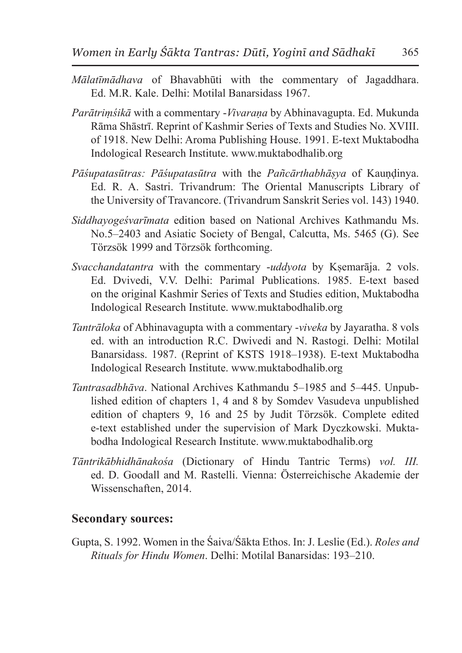- *Mālatīmādhava* of Bhavabhūti with the commentary of Jagaddhara. Ed. M.R. Kale. Delhi: Motilal Banarsidass 1967.
- *Parātriṃśikā* with a commentary -*Vivaraṇa* by Abhinavagupta. Ed. Mukunda Rāma Shāstrī. Reprint of Kashmir Series of Texts and Studies No. XVIII. of 1918. New Delhi: Aroma Publishing House. 1991. E-text Muktabodha Indological Research Institute. www.muktabodhalib.org
- *Pāśupatasūtras: Pāśupatasūtra* with the *Pañcārthabhāṣya* of Kauṇḍinya. Ed. R. A. Sastri. Trivandrum: The Oriental Manuscripts Library of the University of Travancore. (Trivandrum Sanskrit Series vol. 143) 1940.
- *Siddhayogeśvarīmata* edition based on National Archives Kathmandu Ms. No.5–2403 and Asiatic Society of Bengal, Calcutta, Ms. 5465 (G). See Törzsök 1999 and Törzsök forthcoming.
- *Svacchandatantra* with the commentary -*uddyota* by Kṣemarāja. 2 vols. Ed. Dvivedi, V.V. Delhi: Parimal Publications. 1985. E-text based on the original Kashmir Series of Texts and Studies edition, Muktabodha Indological Research Institute. www.muktabodhalib.org
- *Tantrāloka* of Abhinavagupta with a commentary -*viveka* by Jayaratha. 8 vols ed. with an introduction R.C. Dwivedi and N. Rastogi. Delhi: Motilal Banarsidass. 1987. (Reprint of KSTS 1918–1938). E-text Muktabodha Indological Research Institute. www.muktabodhalib.org
- *Tantrasadbhāva*. National Archives Kathmandu 5–1985 and 5–445. Unpublished edition of chapters 1, 4 and 8 by Somdev Vasudeva unpublished edition of chapters 9, 16 and 25 by Judit Törzsök. Complete edited e-text established under the supervision of Mark Dyczkowski. Muktabodha Indological Research Institute. www.muktabodhalib.org
- *Tāntrikābhidhānakośa* (Dictionary of Hindu Tantric Terms) *vol. III.* ed. D. Goodall and M. Rastelli. Vienna: Österreichische Akademie der Wissenschaften, 2014.

#### **Secondary sources:**

Gupta, S. 1992. Women in the Śaiva/Śākta Ethos. In: J. Leslie (Ed.). *Roles and Rituals for Hindu Women*. Delhi: Motilal Banarsidas: 193–210.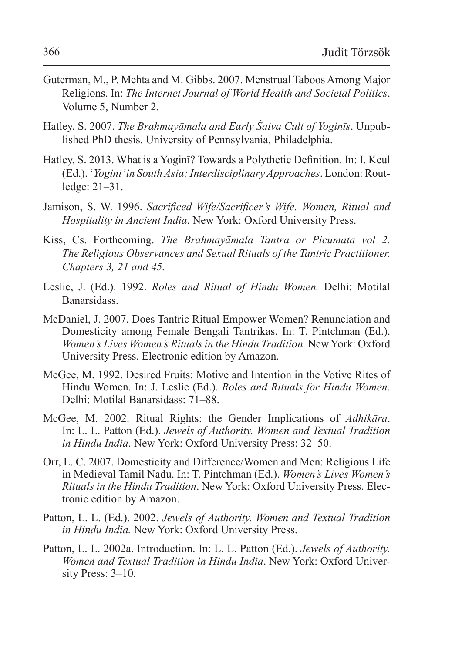- Guterman, M., P. Mehta and M. Gibbs. 2007. Menstrual Taboos Among Major Religions. In: *The Internet Journal of World Health and Societal Politics*. Volume 5, Number 2.
- Hatley, S. 2007. *The Brahmayāmala and Early Śaiva Cult of Yoginīs*. Unpublished PhD thesis. University of Pennsylvania, Philadelphia.
- Hatley, S. 2013. What is a Yoginī? Towards a Polythetic Definition. In: I. Keul (Ed.). '*Yogini' in South Asia: Interdisciplinary Approaches*. London: Routledge: 21–31.
- Jamison, S. W. 1996. *Sacrificed Wife/Sacrificer's Wife. Women, Ritual and Hospitality in Ancient India*. New York: Oxford University Press.
- Kiss, Cs. Forthcoming. *The Brahmayāmala Tantra or Picumata vol 2. The Religious Observances and Sexual Rituals of the Tantric Practitioner. Chapters 3, 21 and 45.*
- Leslie, J. (Ed.). 1992. *Roles and Ritual of Hindu Women.* Delhi: Motilal Banarsidass.
- McDaniel, J. 2007. Does Tantric Ritual Empower Women? Renunciation and Domesticity among Female Bengali Tantrikas. In: T. Pintchman (Ed.). *Women's Lives Women's Rituals in the Hindu Tradition.* NewYork: Oxford University Press. Electronic edition by Amazon.
- McGee, M. 1992. Desired Fruits: Motive and Intention in the Votive Rites of Hindu Women. In: J. Leslie (Ed.). *Roles and Rituals for Hindu Women*. Delhi: Motilal Banarsidass: 71–88.
- McGee, M. 2002. Ritual Rights: the Gender Implications of *Adhikāra*. In: L. L. Patton (Ed.). *Jewels of Authority. Women and Textual Tradition in Hindu India*. New York: Oxford University Press: 32–50.
- Orr, L. C. 2007. Domesticity and Difference/Women and Men: Religious Life in Medieval Tamil Nadu. In: T. Pintchman (Ed.). *Women's Lives Women's Rituals in the Hindu Tradition*. New York: Oxford University Press. Electronic edition by Amazon.
- Patton, L. L. (Ed.). 2002. *Jewels of Authority. Women and Textual Tradition in Hindu India.* New York: Oxford University Press.
- Patton, L. L. 2002a. Introduction. In: L. L. Patton (Ed.). *Jewels of Authority. Women and Textual Tradition in Hindu India*. New York: Oxford University Press: 3–10.